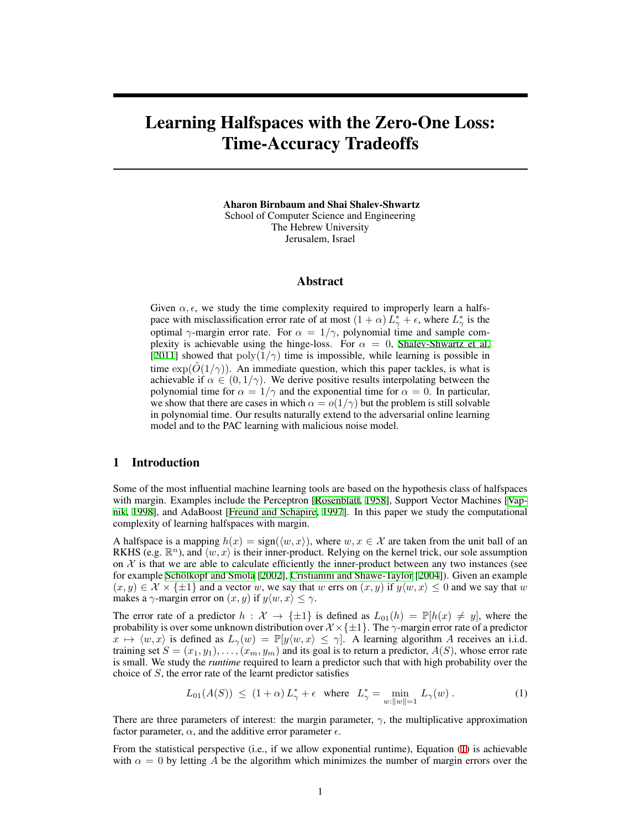# Learning Halfspaces with the Zero-One Loss: Time-Accuracy Tradeoffs

Aharon Birnbaum and Shai Shalev-Shwartz School of Computer Science and Engineering The Hebrew University Jerusalem, Israel

# Abstract

Given  $\alpha, \epsilon$ , we study the time complexity required to improperly learn a halfspace with misclassification error rate of at most  $(1 + \alpha) L^*_{\gamma} + \epsilon$ , where  $L^*_{\gamma}$  is the optimal *γ*-margin error rate. For  $\alpha = 1/\gamma$ , polynomial time and sample complexity is achievable using the hinge-loss. For  $\alpha = 0$ , [Shalev-Shwartz et al.](#page-8-0) [\[2011](#page-8-0)] showed that  $poly(1/\gamma)$  time is impossible, while learning is possible in time  $\exp(O(1/\gamma))$ . An immediate question, which this paper tackles, is what is achievable if  $\alpha \in (0, 1/\gamma)$ . We derive positive results interpolating between the polynomial time for  $\alpha = 1/\gamma$  and the exponential time for  $\alpha = 0$ . In particular, we show that there are cases in which  $\alpha = o(1/\gamma)$  but the problem is still solvable in polynomial time. Our results naturally extend to the adversarial online learning model and to the PAC learning with malicious noise model.

# 1 Introduction

Some of the most influential machine learning tools are based on the hypothesis class of halfspaces with margin. Examples include the Perceptron [\[Rosenblatt,](#page-8-1) [1958\]](#page-8-1), Support Vector Machines [\[Vap](#page-8-2)[nik,](#page-8-2) [1998](#page-8-2)], and AdaBoost [[Freund and Schapire](#page-8-3), [1997\]](#page-8-3). In this paper we study the computational complexity of learning halfspaces with margin.

A halfspace is a mapping  $h(x) = \text{sign}(\langle w, x \rangle)$ , where  $w, x \in \mathcal{X}$  are taken from the unit ball of an RKHS (e.g.  $\mathbb{R}^n$ ), and  $\langle w, x \rangle$  is their inner-product. Relying on the kernel trick, our sole assumption on  $X$  is that we are able to calculate efficiently the inner-product between any two instances (see for example Schölkopf and Smola [\[2002](#page-8-4)], [Cristianini and Shawe-Taylor](#page-8-5) [\[2004](#page-8-5)]). Given an example  $(x, y) \in \mathcal{X} \times \{\pm 1\}$  and a vector *w*, we say that *w* errs on  $(x, y)$  if  $y \langle w, x \rangle \leq 0$  and we say that *w* makes a  $\gamma$ -margin error on  $(x, y)$  if  $y \langle w, x \rangle \leq \gamma$ .

The error rate of a predictor  $h : \mathcal{X} \to \{\pm 1\}$  is defined as  $L_{01}(h) = \mathbb{P}[h(x) \neq y]$ , where the probability is over some unknown distribution over *X ×{±*1*}*. The *γ*-margin error rate of a predictor  $\hat{x} \mapsto \langle w, x \rangle$  is defined as  $L_{\gamma}(w) = \mathbb{P}[y \langle w, x \rangle \leq \gamma]$ . A learning algorithm *A* receives an i.i.d. training set  $S = (x_1, y_1), \ldots, (x_m, y_m)$  and its goal is to return a predictor,  $A(S)$ , whose error rate is small. We study the *runtime* required to learn a predictor such that with high probability over the choice of *S*, the error rate of the learnt predictor satisfies

<span id="page-0-0"></span>
$$
L_{01}(A(S)) \le (1+\alpha) L_{\gamma}^{*} + \epsilon \quad \text{where} \quad L_{\gamma}^{*} = \min_{w:||w||=1} L_{\gamma}(w) \,. \tag{1}
$$

There are three parameters of interest: the margin parameter,  $\gamma$ , the multiplicative approximation factor parameter,  $\alpha$ , and the additive error parameter  $\epsilon$ .

From the statistical perspective (i.e., if we allow exponential runtime), Equation [\(1](#page-0-0)) is achievable with  $\alpha = 0$  by letting A be the algorithm which minimizes the number of margin errors over the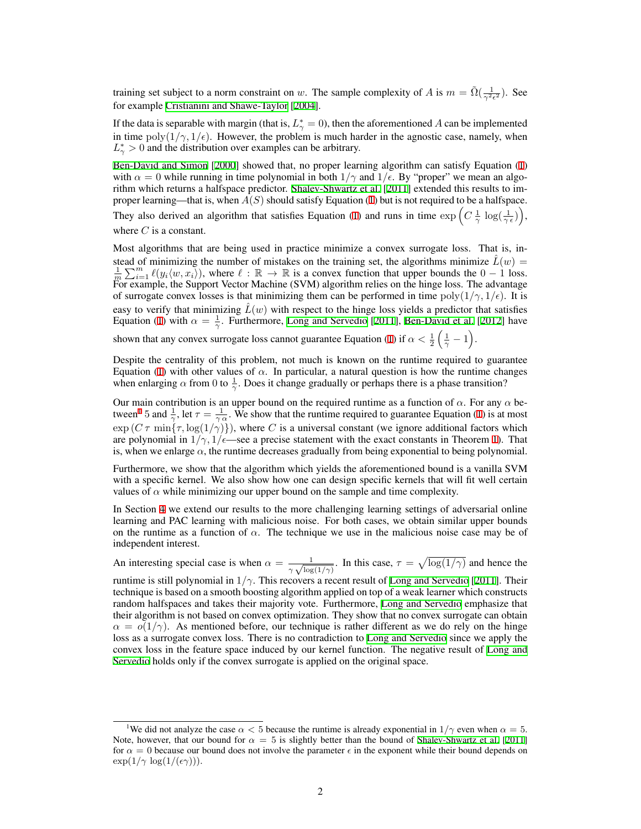training set subject to a norm constraint on *w*. The sample complexity of *A* is  $m = \tilde{\Omega}(\frac{1}{\gamma^2 \epsilon^2})$ . See for example [Cristianini and Shawe-Taylor](#page-8-5) [[2004\]](#page-8-5).

If the data is separable with margin (that is,  $L^*_{\gamma} = 0$ ), then the aforementioned A can be implemented in time poly $(1/\gamma, 1/\epsilon)$ . However, the problem is much harder in the agnostic case, namely, when  $L^*_{\gamma} > 0$  and the distribution over examples can be arbitrary.

[Ben-David and Simon](#page-8-6) [\[2000](#page-8-6)] showed that, no proper learning algorithm can satisfy Equation ([1\)](#page-0-0) with  $\alpha = 0$  while running in time polynomial in both  $1/\gamma$  and  $1/\epsilon$ . By "proper" we mean an algorithm which returns a halfspace predictor. [Shalev-Shwartz et al.](#page-8-0) [[2011](#page-8-0)] extended this results to improper learning—that is, when *A*(*S*) should satisfy Equation ([1\)](#page-0-0) but is not required to be a halfspace.

They also derived an algorithm that satisfies Equation [\(1](#page-0-0)) and runs in time  $\exp\left(C\frac{1}{\gamma}\log(\frac{1}{\gamma\epsilon})\right)$ , where *C* is a constant.

Most algorithms that are being used in practice minimize a convex surrogate loss. That is, instead of minimizing the number of mistakes on the training set, the algorithms minimize  $L(w)$  $\frac{1}{m} \sum_{i=1}^{m} \ell(y_i \langle w, x_i \rangle)$ , where  $\ell : \mathbb{R} \to \mathbb{R}$  is a convex function that upper bounds the  $0 - 1$  loss. For example, the Support Vector Machine (SVM) algorithm relies on the hinge loss. The advantage of surrogate convex losses is that minimizing them can be performed in time  $poly(1/\gamma, 1/\epsilon)$ . It is easy to verify that minimizing  $\hat{L}(w)$  with respect to the hinge loss yields a predictor that satisfies Equation [\(1](#page-0-0)) with  $\alpha = \frac{1}{\gamma}$ . Furthermore, [Long and Servedio](#page-8-7) [\[2011](#page-8-7)], [Ben-David et al.](#page-8-8) [\[2012](#page-8-8)] have

shown that any convex surrogate loss cannot guarantee Equation ([1\)](#page-0-0) if  $\alpha < \frac{1}{2} \left( \frac{1}{\gamma} - 1 \right)$ .

Despite the centrality of this problem, not much is known on the runtime required to guarantee Equation ([1\)](#page-0-0) with other values of  $\alpha$ . In particular, a natural question is how the runtime changes when enlarging  $\alpha$  from 0 to  $\frac{1}{\gamma}$ . Does it change gradually or perhaps there is a phase transition?

Our main contribution is an upper bound on the required runtime as a function of  $\alpha$ . For any  $\alpha$  be-tween<sup>[1](#page-1-0)</sup> 5 and  $\frac{1}{\gamma}$ , let  $\tau = \frac{1}{\gamma \alpha}$ . We show that the runtime required to guarantee Equation ([1\)](#page-0-0) is at most  $\exp(C\tau \min\{\tau, \log(1/\gamma)\})$ , where *C* is a universal constant (we ignore additional factors which are polynomial in  $1/\gamma$ ,  $1/\epsilon$ —see a precise statement with the exact constants in Theorem [1\)](#page-3-0). That is, when we enlarge  $\alpha$ , the runtime decreases gradually from being exponential to being polynomial.

Furthermore, we show that the algorithm which yields the aforementioned bound is a vanilla SVM with a specific kernel. We also show how one can design specific kernels that will fit well certain values of  $\alpha$  while minimizing our upper bound on the sample and time complexity.

In Section [4](#page-6-0) we extend our results to the more challenging learning settings of adversarial online learning and PAC learning with malicious noise. For both cases, we obtain similar upper bounds on the runtime as a function of  $\alpha$ . The technique we use in the malicious noise case may be of independent interest.

An interesting special case is when  $\alpha = \frac{1}{\sqrt{2\pi}}$  $\frac{1}{\gamma \sqrt{\log(1/\gamma)}}$ . In this case,  $\tau = \sqrt{\log(1/\gamma)}$  and hence the runtime is still polynomial in 1*/γ*. This recovers a recent result of [Long and Servedio](#page-8-7) [[2011\]](#page-8-7). Their technique is based on a smooth boosting algorithm applied on top of a weak learner which constructs random halfspaces and takes their majority vote. Furthermore, [Long and Servedio](#page-8-7) emphasize that their algorithm is not based on convex optimization. They show that no convex surrogate can obtain  $\alpha = o(1/\gamma)$ . As mentioned before, our technique is rather different as we do rely on the hinge loss as a surrogate convex loss. There is no contradiction to [Long and Servedio](#page-8-7) since we apply the convex loss in the feature space induced by our kernel function. The negative result of [Long and](#page-8-7) [Servedio](#page-8-7) holds only if the convex surrogate is applied on the original space.

<span id="page-1-0"></span><sup>&</sup>lt;sup>1</sup>We did not analyze the case  $\alpha < 5$  because the runtime is already exponential in  $1/\gamma$  even when  $\alpha = 5$ . Note, however, that our bound for  $\alpha = 5$  is slightly better than the bound of [Shalev-Shwartz et al.](#page-8-0) [\[2011](#page-8-0)] for  $\alpha = 0$  because our bound does not involve the parameter  $\epsilon$  in the exponent while their bound depends on  $\exp(1/\gamma \log(1/(\epsilon \gamma))).$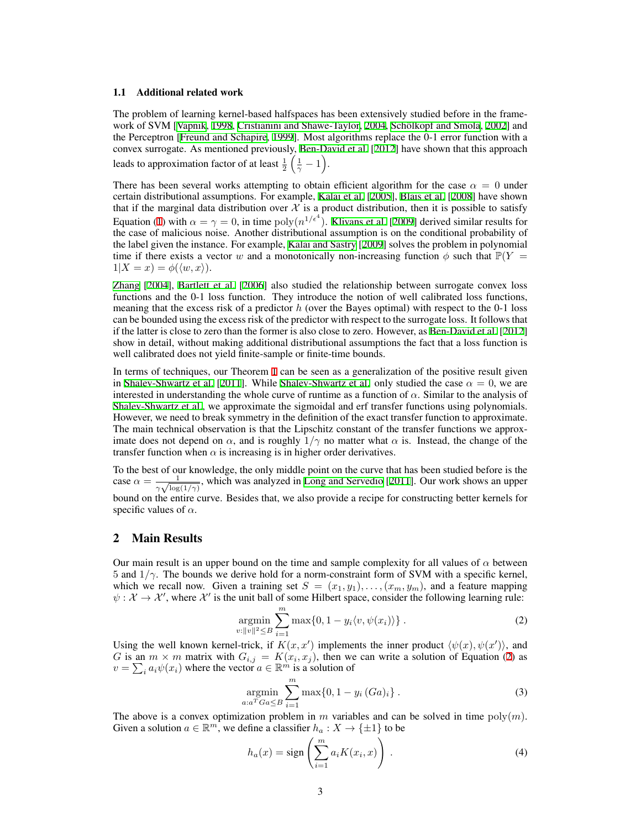#### 1.1 Additional related work

The problem of learning kernel-based halfspaces has been extensively studied before in the frame-work of SVM [[Vapnik](#page-8-2), [1998,](#page-8-2) [Cristianini and Shawe-Taylor,](#page-8-5) [2004,](#page-8-5) Schölkopf and Smola, [2002\]](#page-8-4) and the Perceptron [\[Freund and Schapire](#page-8-9), [1999](#page-8-9)]. Most algorithms replace the 0-1 error function with a convex surrogate. As mentioned previously, [Ben-David et al.](#page-8-8) [[2012\]](#page-8-8) have shown that this approach leads to approximation factor of at least  $\frac{1}{2} \left( \frac{1}{\gamma} - 1 \right)$ .

There has been several works attempting to obtain efficient algorithm for the case  $\alpha = 0$  under certain distributional assumptions. For example, [Kalai et al.](#page-8-10) [[2005\]](#page-8-10), [Blais et al.](#page-8-11) [\[2008](#page-8-11)] have shown that if the marginal data distribution over  $\mathcal X$  is a product distribution, then it is possible to satisfy Equation ([1\)](#page-0-0) with  $\alpha = \gamma = 0$ , in time  $\text{poly}(n^{1/\epsilon^4})$ . [Klivans et al.](#page-8-12) [\[2009](#page-8-12)] derived similar results for the case of malicious noise. Another distributional assumption is on the conditional probability of the label given the instance. For example, [Kalai and Sastry](#page-8-13) [\[2009](#page-8-13)] solves the problem in polynomial time if there exists a vector *w* and a monotonically non-increasing function  $\phi$  such that  $\mathbb{P}(Y =$  $1|X=x\rangle = \phi(\langle w, x\rangle).$ 

[Zhang](#page-8-14) [[2004\]](#page-8-14), [Bartlett et al.](#page-8-15) [[2006\]](#page-8-15) also studied the relationship between surrogate convex loss functions and the 0-1 loss function. They introduce the notion of well calibrated loss functions, meaning that the excess risk of a predictor *h* (over the Bayes optimal) with respect to the 0-1 loss can be bounded using the excess risk of the predictor with respect to the surrogate loss. It follows that if the latter is close to zero than the former is also close to zero. However, as [Ben-David et al.](#page-8-8) [[2012\]](#page-8-8) show in detail, without making additional distributional assumptions the fact that a loss function is well calibrated does not yield finite-sample or finite-time bounds.

In terms of techniques, our Theorem [1](#page-3-0) can be seen as a generalization of the positive result given in [Shalev-Shwartz et al.](#page-8-0) [\[2011](#page-8-0)]. While Shalev-Shwartz et al. only studied the case  $\alpha = 0$ , we are interested in understanding the whole curve of runtime as a function of  $\alpha$ . Similar to the analysis of [Shalev-Shwartz et al.](#page-8-0), we approximate the sigmoidal and erf transfer functions using polynomials. However, we need to break symmetry in the definition of the exact transfer function to approximate. The main technical observation is that the Lipschitz constant of the transfer functions we approximate does not depend on  $\alpha$ , and is roughly  $1/\gamma$  no matter what  $\alpha$  is. Instead, the change of the transfer function when  $\alpha$  is increasing is in higher order derivatives.

To the best of our knowledge, the only middle point on the curve that has been studied before is the case  $\alpha = \frac{1}{\sqrt{1}}$  $\frac{1}{\gamma \sqrt{\log(1/\gamma)}}$ , which was analyzed in [Long and Servedio](#page-8-7) [\[2011](#page-8-7)]. Our work shows an upper bound on the entire curve. Besides that, we also provide a recipe for constructing better kernels for specific values of  $\alpha$ .

### 2 Main Results

Our main result is an upper bound on the time and sample complexity for all values of  $\alpha$  between 5 and 1*/γ*. The bounds we derive hold for a norm-constraint form of SVM with a specific kernel, which we recall now. Given a training set  $S = (x_1, y_1), \ldots, (x_m, y_m)$ , and a feature mapping  $\psi : \mathcal{X} \to \mathcal{X}'$ , where  $\mathcal{X}'$  is the unit ball of some Hilbert space, consider the following learning rule:

<span id="page-2-0"></span>
$$
\underset{v:||v||^2 \leq B}{\text{argmin}} \sum_{i=1}^m \max\{0, 1 - y_i \langle v, \psi(x_i) \rangle\} \,. \tag{2}
$$

Using the well known kernel-trick, if  $K(x, x')$  implements the inner product  $\langle \psi(x), \psi(x') \rangle$ , and *G* is an  $m \times m$  matrix with  $G_{i,j} = K(x_i, x_j)$ , then we can write a solution of Equation ([2\)](#page-2-0) as  $v = \sum_i a_i \psi(x_i)$  where the vector  $a \in \mathbb{R}^m$  is a solution of

<span id="page-2-1"></span>
$$
\underset{a:a^{T}Ga \leq B}{\text{argmin}} \sum_{i=1}^{m} \max\{0, 1 - y_{i} (Ga)_{i}\}.
$$
 (3)

The above is a convex optimization problem in  $m$  variables and can be solved in time  $poly(m)$ . Given a solution  $a \in \mathbb{R}^m$ , we define a classifier  $h_a: X \to \{\pm 1\}$  to be

<span id="page-2-2"></span>
$$
h_a(x) = \text{sign}\left(\sum_{i=1}^m a_i K(x_i, x)\right). \tag{4}
$$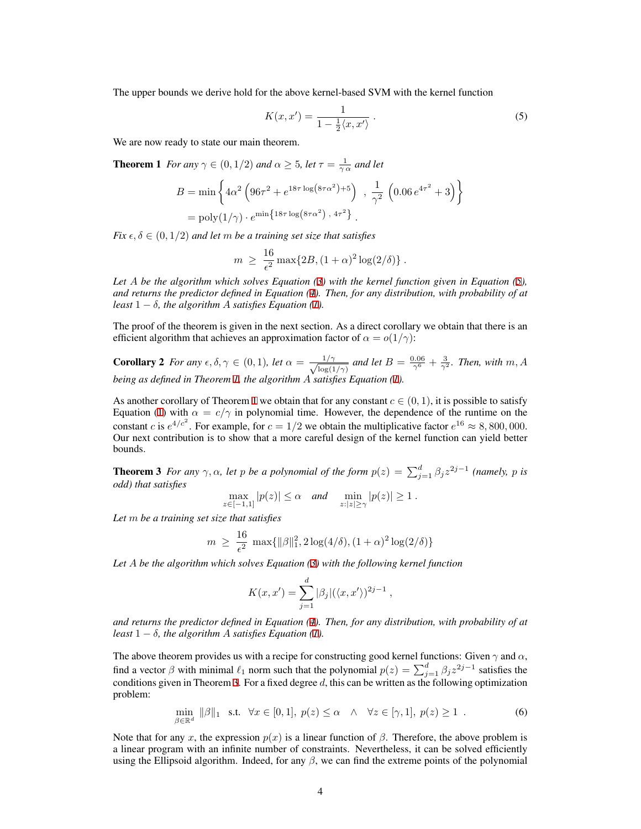The upper bounds we derive hold for the above kernel-based SVM with the kernel function

<span id="page-3-1"></span><span id="page-3-0"></span>
$$
K(x, x') = \frac{1}{1 - \frac{1}{2}\langle x, x'\rangle} \tag{5}
$$

We are now ready to state our main theorem.

**Theorem 1** *For any*  $\gamma \in (0, 1/2)$  *and*  $\alpha \geq 5$ *, let*  $\tau = \frac{1}{\gamma \alpha}$  *and let* 

$$
B = \min \left\{ 4\alpha^2 \left( 96\tau^2 + e^{18\tau \log(8\tau \alpha^2) + 5} \right) , \frac{1}{\gamma^2} \left( 0.06 e^{4\tau^2} + 3 \right) \right\}
$$
  
=  $\text{poly}(1/\gamma) \cdot e^{\min\{18\tau \log(8\tau \alpha^2), 4\tau^2\}}$ .

*Fix*  $\epsilon, \delta \in (0, 1/2)$  *and let m be a training set size that satisfies* 

$$
m \ge \frac{16}{\epsilon^2} \max\{2B, (1+\alpha)^2 \log(2/\delta)\}.
$$

*Let A be the algorithm which solves Equation ([3\)](#page-2-1) with the kernel function given in Equation [\(5](#page-3-1)), and returns the predictor defined in Equation [\(4](#page-2-2)). Then, for any distribution, with probability of at least*  $1 - \delta$ *, the algorithm A satisfies Equation [\(1](#page-0-0)).* 

The proof of the theorem is given in the next section. As a direct corollary we obtain that there is an efficient algorithm that achieves an approximation factor of  $\alpha = o(1/\gamma)$ :

**Corollary 2** For any  $\epsilon, \delta, \gamma \in (0, 1)$ , let  $\alpha = \frac{1/\gamma}{\sqrt{1/\gamma}}$  $\frac{1/\gamma}{\log(1/\gamma)}$  and let  $B = \frac{0.06}{\gamma^6} + \frac{3}{\gamma^2}$ *. Then, with m, A being as defined in Theorem [1](#page-3-0), the algorithm A satisfies Equation ([1\)](#page-0-0).*

As another corollary of Theorem [1](#page-3-0) we obtain that for any constant  $c \in (0, 1)$ , it is possible to satisfy Equation ([1\)](#page-0-0) with  $\alpha = c/\gamma$  in polynomial time. However, the dependence of the runtime on the constant *c* is  $e^{4/c^2}$ . For example, for  $c = 1/2$  we obtain the multiplicative factor  $e^{16} \approx 8,800,000$ . Our next contribution is to show that a more careful design of the kernel function can yield better bounds.

<span id="page-3-2"></span>**Theorem 3** For any  $\gamma$ ,  $\alpha$ , let p be a polynomial of the form  $p(z) = \sum_{j=1}^{d} \beta_j z^{2j-1}$  (namely, p is *odd) that satisfies*

$$
\max_{z \in [-1,1]} |p(z)| \le \alpha \quad \text{and} \quad \min_{z : |z| \ge \gamma} |p(z)| \ge 1.
$$

*Let m be a training set size that satisfies*

$$
m \ \geq \ \frac{16}{\epsilon^2} \, \max\{ \|\beta\|_1^2, 2\log(4/\delta), (1+\alpha)^2 \log(2/\delta) \}
$$

*Let A be the algorithm which solves Equation ([3\)](#page-2-1) with the following kernel function*

<span id="page-3-3"></span>
$$
K(x, x') = \sum_{j=1}^{d} |\beta_j| (\langle x, x' \rangle)^{2j-1},
$$

*and returns the predictor defined in Equation [\(4](#page-2-2)). Then, for any distribution, with probability of at least*  $1 - \delta$ *, the algorithm A satisfies Equation [\(1](#page-0-0)).* 

The above theorem provides us with a recipe for constructing good kernel functions: Given  $\gamma$  and  $\alpha$ , find a vector  $\beta$  with minimal  $\ell_1$  norm such that the polynomial  $p(z) = \sum_{j=1}^d \beta_j z^{2j-1}$  satisfies the conditions given in Theorem [3.](#page-3-2) For a fixed degree *d*, this can be written as the following optimization problem:

$$
\min_{\beta \in \mathbb{R}^d} \|\beta\|_1 \quad \text{s.t.} \quad \forall x \in [0, 1], \ p(z) \le \alpha \quad \land \quad \forall z \in [\gamma, 1], \ p(z) \ge 1 \quad . \tag{6}
$$

Note that for any *x*, the expression  $p(x)$  is a linear function of  $\beta$ . Therefore, the above problem is a linear program with an infinite number of constraints. Nevertheless, it can be solved efficiently using the Ellipsoid algorithm. Indeed, for any  $\beta$ , we can find the extreme points of the polynomial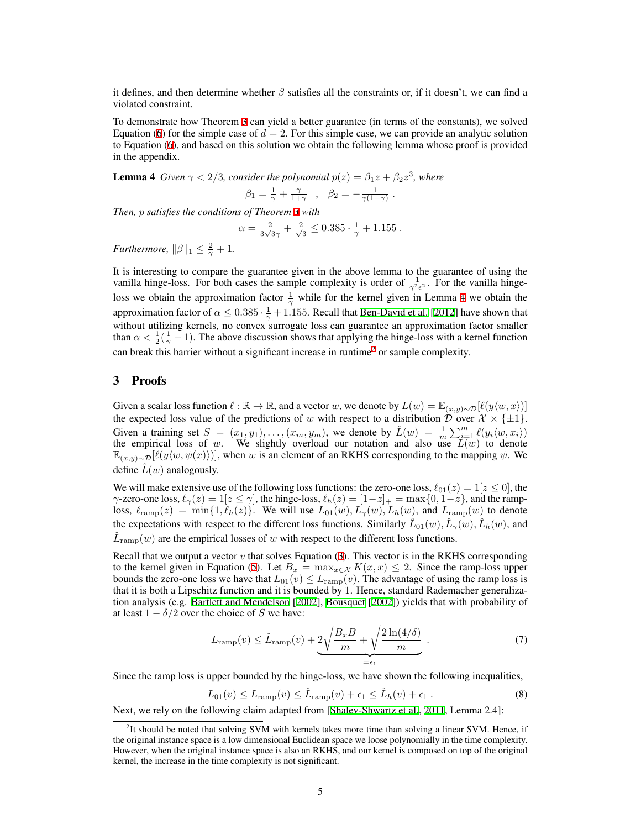it defines, and then determine whether *β* satisfies all the constraints or, if it doesn't, we can find a violated constraint.

To demonstrate how Theorem [3](#page-3-2) can yield a better guarantee (in terms of the constants), we solved Equation ([6\)](#page-3-3) for the simple case of  $d = 2$ . For this simple case, we can provide an analytic solution to Equation [\(6](#page-3-3)), and based on this solution we obtain the following lemma whose proof is provided in the appendix.

<span id="page-4-0"></span>**Lemma 4** *Given*  $\gamma < 2/3$ *, consider the polynomial*  $p(z) = \beta_1 z + \beta_2 z^3$ *, where* 

$$
\beta_1 = \frac{1}{\gamma} + \frac{\gamma}{1+\gamma} \quad , \quad \beta_2 = -\frac{1}{\gamma(1+\gamma)} \ .
$$

*Then, p satisfies the conditions of Theorem [3](#page-3-2) with*

$$
\alpha = \frac{2}{3\sqrt{3}\gamma} + \frac{2}{\sqrt{3}} \le 0.385 \cdot \frac{1}{\gamma} + 1.155.
$$

*Furthermore,*  $||\beta||_1 \leq \frac{2}{\gamma} + 1$ *.* 

It is interesting to compare the guarantee given in the above lemma to the guarantee of using the vanilla hinge-loss. For both cases the sample complexity is order of  $\frac{1}{\gamma^2 \epsilon^2}$ . For the vanilla hingeloss we obtain the approximation factor  $\frac{1}{\gamma}$  while for the kernel given in Lemma [4](#page-4-0) we obtain the approximation factor of  $\alpha \leq 0.385 \cdot \frac{1}{\gamma} + 1.155$ . Recall that [Ben-David et al.](#page-8-8) [[2012\]](#page-8-8) have shown that without utilizing kernels, no convex surrogate loss can guarantee an approximation factor smaller than  $\alpha < \frac{1}{2}(\frac{1}{\gamma} - 1)$ . The above discussion shows that applying the hinge-loss with a kernel function can break this barrier without a significant increase in runtime<sup>[2](#page-4-1)</sup> or sample complexity.

## 3 Proofs

Given a scalar loss function  $\ell : \mathbb{R} \to \mathbb{R}$ , and a vector *w*, we denote by  $L(w) = \mathbb{E}_{(x,y) \sim \mathcal{D}}[\ell(y \langle w, x \rangle)]$ the expected loss value of the predictions of *w* with respect to a distribution *D* over  $\mathcal{X} \times \{\pm 1\}$ . Given a training set  $S = (x_1, y_1), \ldots, (x_m, y_m)$ , we denote by  $\hat{L}(w) = \frac{1}{m} \sum_{i=1}^m \ell(y_i \langle w, x_i \rangle)$ the empirical loss of  $w$ . We slightly overload our notation and also use  $L(w)$  to denote E(*x,y*)*∼D*[*ℓ*(*y⟨w, ψ*(*x*)*⟩*)], when *w* is an element of an RKHS corresponding to the mapping *ψ*. We define  $L(w)$  analogously.

We will make extensive use of the following loss functions: the zero-one loss,  $\ell_{01}(z) = 1[z \le 0]$ , the *γ*-zero-one loss,  $\ell_{\gamma}(z) = 1[z \le \gamma]$ , the hinge-loss,  $\ell_h(z) = [1-z]_+ = \max\{0, 1-z\}$ , and the ramploss,  $\ell_{\text{ramp}}(z) = \min\{1, \ell_h(z)\}\.$  We will use  $L_{01}(w), L_{\gamma}(w), L_h(w)$ , and  $L_{\text{ramp}}(w)$  to denote the expectations with respect to the different loss functions. Similarly  $\hat{L}_{01}(w)$ ,  $\hat{L}_{\gamma}(w)$ ,  $\hat{L}_{h}(w)$ , and  $\hat{L}_{\text{ramp}}(w)$  are the empirical losses of *w* with respect to the different loss functions.

Recall that we output a vector  $v$  that solves Equation  $(3)$  $(3)$ . This vector is in the RKHS corresponding to the kernel given in Equation [\(5](#page-3-1)). Let  $B_x = \max_{x \in \mathcal{X}} K(x, x) \leq 2$ . Since the ramp-loss upper bounds the zero-one loss we have that  $L_{01}(v) \le L_{\text{ramp}}(v)$ . The advantage of using the ramp loss is that it is both a Lipschitz function and it is bounded by 1. Hence, standard Rademacher generalization analysis (e.g. [Bartlett and Mendelson](#page-8-16) [[2002\]](#page-8-16), [Bousquet](#page-8-17) [\[2002](#page-8-17)]) yields that with probability of at least  $1 - \delta/2$  over the choice of *S* we have:

$$
L_{\text{ramp}}(v) \leq \hat{L}_{\text{ramp}}(v) + \underbrace{2\sqrt{\frac{B_x B}{m}} + \sqrt{\frac{2\ln(4/\delta)}{m}}}_{=\epsilon_1}.
$$
 (7)

Since the ramp loss is upper bounded by the hinge-loss, we have shown the following inequalities,

<span id="page-4-2"></span>
$$
L_{01}(v) \le L_{\text{ramp}}(v) \le \hat{L}_{\text{ramp}}(v) + \epsilon_1 \le \hat{L}_h(v) + \epsilon_1.
$$
 (8)

Next, we rely on the following claim adapted from [[Shalev-Shwartz et al.](#page-8-0), [2011](#page-8-0), Lemma 2.4]:

<span id="page-4-1"></span> ${}^{2}$ It should be noted that solving SVM with kernels takes more time than solving a linear SVM. Hence, if the original instance space is a low dimensional Euclidean space we loose polynomially in the time complexity. However, when the original instance space is also an RKHS, and our kernel is composed on top of the original kernel, the increase in the time complexity is not significant.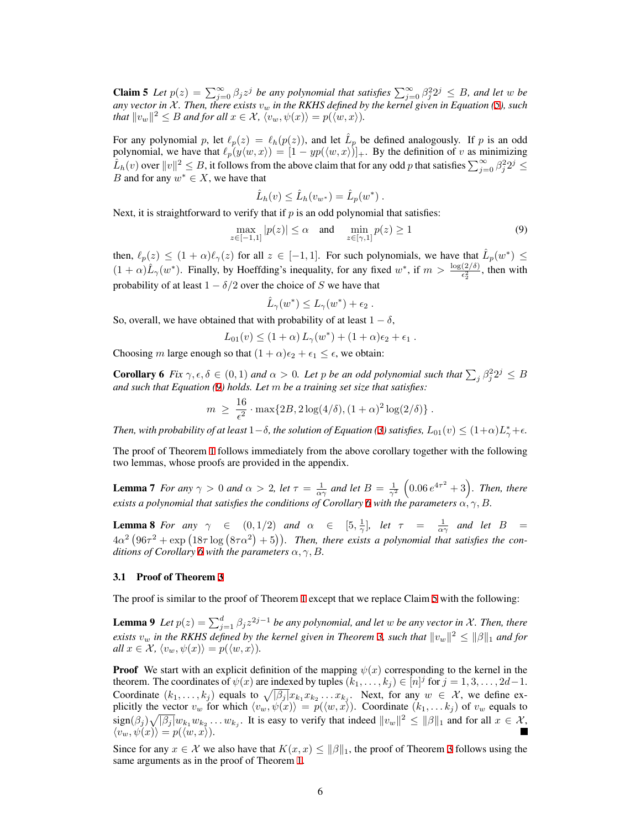**Claim 5** Let  $p(z) = \sum_{j=0}^{\infty} \beta_j z^j$  be any polynomial that satisfies  $\sum_{j=0}^{\infty} \beta_j^2 2^j \leq B$ , and let w be *any vector in*  $X$ *. Then, there exists*  $v_w$  *in the RKHS defined by the kernel given in Equation ([5\)](#page-3-1), such that*  $||v_w||^2 \leq B$  *and for all*  $x \in \mathcal{X}$ ,  $\langle v_w, \psi(x) \rangle = p(\langle w, x \rangle)$ .

For any polynomial *p*, let  $\ell_p(z) = \ell_h(p(z))$ , and let  $\hat{L}_p$  be defined analogously. If *p* is an odd polynomial, we have that  $\ell_p(y \langle w, x \rangle) = [1 - yp(\langle w, x \rangle)]_+$ . By the definition of *v* as minimizing  $\hat{L}_h(v)$  over  $||v||^2 \leq B$ , it follows from the above claim that for any odd *p* that satisfies  $\sum_{j=0}^{\infty} \beta_j^2 2^j \leq$ *B* and for any  $w^* \in X$ , we have that

$$
\hat{L}_h(v) \leq \hat{L}_h(v_{w^*}) = \hat{L}_p(w^*)
$$
.

Next, it is straightforward to verify that if  $p$  is an odd polynomial that satisfies:

<span id="page-5-0"></span>
$$
\max_{z \in [-1,1]} |p(z)| \le \alpha \quad \text{and} \quad \min_{z \in [\gamma,1]} p(z) \ge 1 \tag{9}
$$

then,  $\ell_p(z) \leq (1+\alpha)\ell_\gamma(z)$  for all  $z \in [-1,1]$ . For such polynomials, we have that  $\hat{L}_p(w^*) \leq$  $(1 + \alpha)\hat{L}_{\gamma}(w^*)$ . Finally, by Hoeffding's inequality, for any fixed  $w^*$ , if  $m > \frac{\log(2/\delta)}{\epsilon_2^2}$ , then with probability of at least  $1 - \delta/2$  over the choice of *S* we have that

<span id="page-5-1"></span>
$$
\hat{L}_{\gamma}(w^*) \leq L_{\gamma}(w^*) + \epsilon_2.
$$

So, overall, we have obtained that with probability of at least  $1 - \delta$ ,

$$
L_{01}(v) \le (1+\alpha) L_{\gamma}(w^*) + (1+\alpha)\epsilon_2 + \epsilon_1.
$$

Choosing *m* large enough so that  $(1 + \alpha)\epsilon_2 + \epsilon_1 \leq \epsilon$ , we obtain:

**Corollary 6** Fix  $\gamma, \epsilon, \delta \in (0,1)$  and  $\alpha > 0$ . Let *p* be an odd polynomial such that  $\sum_j \beta_j^2 2^j \leq B$ *and such that Equation [\(9](#page-5-0)) holds. Let m be a training set size that satisfies:*

$$
m \ge \frac{16}{\epsilon^2} \cdot \max\{2B, 2\log(4/\delta), (1+\alpha)^2\log(2/\delta)\}.
$$

*Then, with probability of at least*  $1-\delta$ *, the solution of Equation [\(3](#page-2-1)) satisfies,*  $L_{01}(v) \leq (1+\alpha)L_{\gamma}^{*}+\epsilon$ *.* 

The proof of Theorem [1](#page-3-0) follows immediately from the above corollary together with the following two lemmas, whose proofs are provided in the appendix.

**Lemma 7** For any  $\gamma > 0$  and  $\alpha > 2$ , let  $\tau = \frac{1}{\alpha \gamma}$  and let  $B = \frac{1}{\gamma^2} (0.06 e^{4\tau^2} + 3)$ . Then, there *exists a polynomial that satisfies the conditions of Corollary [6](#page-5-1) with the parameters*  $\alpha, \gamma, B$ .

**Lemma 8** For any  $\gamma$   $\in$   $(0,1/2)$  and  $\alpha$   $\in$   $[5,\frac{1}{\gamma}]$ , let  $\tau$  =  $\frac{1}{\alpha\gamma}$  and let  $B$  =  $4\alpha^2(96\tau^2 + \exp{(18\tau \log{(8\tau \alpha^2)} + 5)})$ . Then, there exists a polynomial that satisfies the con*ditions of Corollary* [6](#page-5-1) *with the parameters*  $\alpha$ ,  $\gamma$ ,  $B$ *.* 

#### 3.1 Proof of Theorem [3](#page-3-2)

The proof is similar to the proof of Theorem [1](#page-3-0) except that we replace Claim [5](#page-4-2) with the following:

**Lemma 9** Let  $p(z) = \sum_{j=1}^{d} \beta_j z^{2j-1}$  be any polynomial, and let w be any vector in X. Then, there  $e$ *xists*  $v_w$  *in the RKHS defined by the kernel given in Theorem [3,](#page-3-2) such that*  $||v_w||^2 \le ||\beta||_1$  *and for*  $all x \in \mathcal{X}, \langle v_w, \psi(x) \rangle = p(\langle w, x \rangle).$ 

**Proof** We start with an explicit definition of the mapping  $\psi(x)$  corresponding to the kernel in the theorem. The coordinates of  $\psi(x)$  are indexed by tuples  $(k_1, \ldots, k_j) \in [n]^j$  for  $j = 1, 3, \ldots, 2d-1$ . Coordinate  $(k_1, \ldots, k_j)$  equals to  $\sqrt{|\beta_j|} x_{k_1} x_{k_2} \ldots x_{k_j}$ . Next, for any  $w \in \mathcal{X}$ , we define explicitly the vector  $v_w$  for which  $\langle v_w, \psi(x) \rangle = p(\langle w, x \rangle)$ . Coordinate  $(k_1, \ldots k_j)$  of  $v_w$  equals to  $\langle \text{sign}(\beta_j) \sqrt{|\beta_j|} w_{k_1} w_{k_2} \dots w_{k_j}$ . It is easy to verify that indeed  $||v_w||^2 \le ||\beta||_1$  and for all  $x \in \mathcal{X}$ ,  $\langle v_w, \psi(x) \rangle = p(\langle w, x \rangle).$ 

Since for any  $x \in \mathcal{X}$  we also have that  $K(x, x) \le ||\beta||_1$ , the proof of Theorem [3](#page-3-2) follows using the same arguments as in the proof of Theorem [1.](#page-3-0)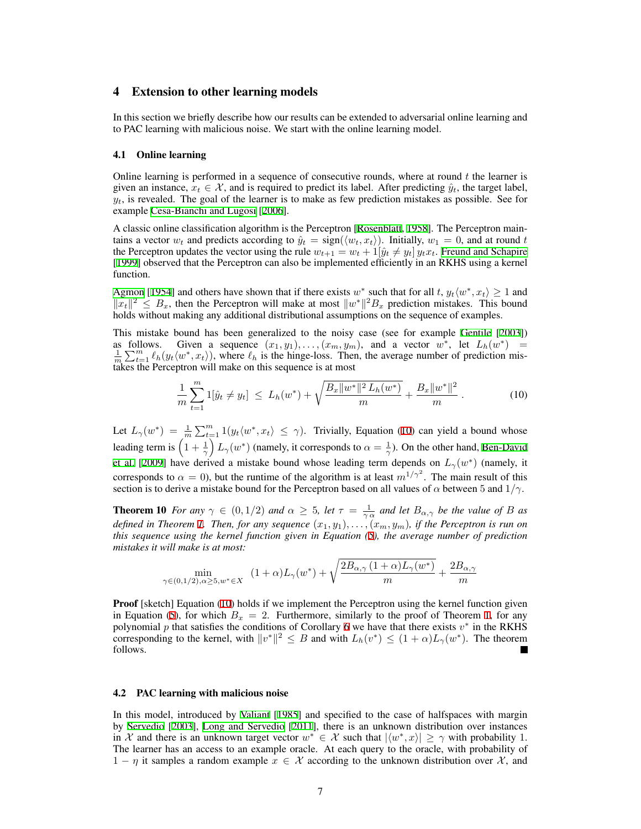# <span id="page-6-0"></span>4 Extension to other learning models

In this section we briefly describe how our results can be extended to adversarial online learning and to PAC learning with malicious noise. We start with the online learning model.

#### 4.1 Online learning

Online learning is performed in a sequence of consecutive rounds, where at round *t* the learner is given an instance,  $x_t \in \mathcal{X}$ , and is required to predict its label. After predicting  $\hat{y}_t$ , the target label,  $y_t$ , is revealed. The goal of the learner is to make as few prediction mistakes as possible. See for example [Cesa-Bianchi and Lugosi](#page-8-18) [[2006\]](#page-8-18).

A classic online classification algorithm is the Perceptron [\[Rosenblatt,](#page-8-1) [1958\]](#page-8-1). The Perceptron maintains a vector  $w_t$  and predicts according to  $\hat{y}_t = \text{sign}(\langle w_t, x_t \rangle)$ . Initially,  $w_1 = 0$ , and at round *t* the Perceptron updates the vector using the rule  $w_{t+1} = w_t + 1[\hat{y}_t \neq y_t] y_t x_t$ . [Freund and Schapire](#page-8-9) [\[1999](#page-8-9)] observed that the Perceptron can also be implemented efficiently in an RKHS using a kernel function.

[Agmon](#page-8-19) [[1954\]](#page-8-19) and others have shown that if there exists  $w^*$  such that for all  $t$ ,  $y_t\langle w^*, x_t \rangle \ge 1$  and  $||x_t||^2$  ≤ *B<sub>x</sub>*, then the Perceptron will make at most  $||w^*||^2B_x$  prediction mistakes. This bound holds without making any additional distributional assumptions on the sequence of examples.

This mistake bound has been generalized to the noisy case (see for example [Gentile](#page-8-20) [\[2003](#page-8-20)]) as follows. Given a sequence  $(x_1, y_1), \ldots, (x_m, y_m)$ , and a vector  $w^*$ , let  $L_h(w^*) = \frac{1}{m} \sum_{t=1}^m \ell_h(y_t \langle w^*, x_t \rangle)$ , where  $\ell_h$  is the hinge-loss. Then, the average number of prediction mistakes the Perceptron will make on this sequence is at most

<span id="page-6-1"></span>
$$
\frac{1}{m}\sum_{t=1}^{m}1[\hat{y}_t\neq y_t] \leq L_h(w^*) + \sqrt{\frac{B_x\|w^*\|^2 L_h(w^*)}{m}} + \frac{B_x\|w^*\|^2}{m}.
$$
 (10)

Let  $L_{\gamma}(w^*) = \frac{1}{m} \sum_{t=1}^m 1(y_t \langle w^*, x_t \rangle \leq \gamma)$ . Trivially, Equation [\(10](#page-6-1)) can yield a bound whose leading term is  $\left(1+\frac{1}{\gamma}\right)L_{\gamma}(w^*)$  (namely, it corresponds to  $\alpha=\frac{1}{\gamma}$ ). On the other hand, [Ben-David](#page-8-21) [et al.](#page-8-21) [[2009\]](#page-8-21) have derived a mistake bound whose leading term depends on  $L_\gamma(w^*)$  (namely, it corresponds to  $\alpha = 0$ ), but the runtime of the algorithm is at least  $m^{1/\gamma^2}$ . The main result of this section is to derive a mistake bound for the Perceptron based on all values of *α* between 5 and 1*/γ*.

**Theorem 10** *For any*  $\gamma \in (0, 1/2)$  *and*  $\alpha \geq 5$ *, let*  $\tau = \frac{1}{\gamma \alpha}$  *and let*  $B_{\alpha, \gamma}$  *be the value of B as defined in Theorem [1](#page-3-0). Then, for any sequence*  $(x_1, y_1), \ldots, (x_m, y_m)$ , *if the Perceptron is run on this sequence using the kernel function given in Equation [\(5](#page-3-1)), the average number of prediction mistakes it will make is at most:*

$$
\min_{\gamma \in (0,1/2), \alpha \ge 5, w^* \in X} (1+\alpha) L_{\gamma}(w^*) + \sqrt{\frac{2B_{\alpha,\gamma}(1+\alpha)L_{\gamma}(w^*)}{m}} + \frac{2B_{\alpha,\gamma}}{m}
$$

**Proof** [sketch] Equation ([10\)](#page-6-1) holds if we implement the Perceptron using the kernel function given in Equation [\(5](#page-3-1)), for which  $B_x = 2$ . Furthermore, similarly to the proof of Theorem [1](#page-3-0), for any polynomial *p* that satisfies the conditions of Corollary [6](#page-5-1) we have that there exists *v ∗* in the RKHS corresponding to the kernel, with  $||v^*||^2 \leq B$  and with  $L_h(v^*) \leq (1+\alpha)L_\gamma(w^*)$ . The theorem follows.

#### 4.2 PAC learning with malicious noise

In this model, introduced by [Valiant](#page-8-22) [[1985\]](#page-8-22) and specified to the case of halfspaces with margin by [Servedio](#page-8-23) [\[2003](#page-8-23)], [Long and Servedio](#page-8-7) [[2011\]](#page-8-7), there is an unknown distribution over instances in *X* and there is an unknown target vector  $w^* \in \mathcal{X}$  such that  $|\langle w^*, x \rangle| \geq \gamma$  with probability 1. The learner has an access to an example oracle. At each query to the oracle, with probability of 1 *− η* it samples a random example *x ∈ X* according to the unknown distribution over *X* , and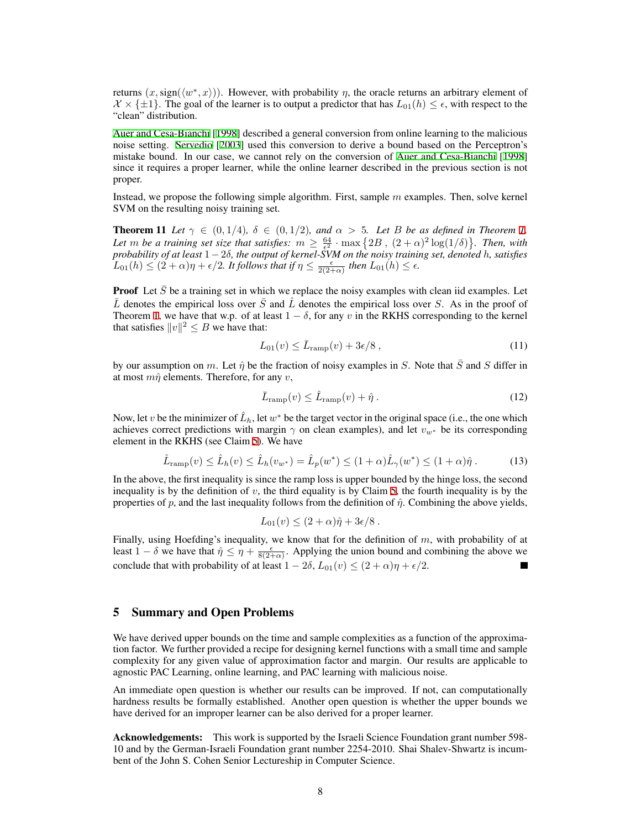returns  $(x, sign(\langle w^*, x \rangle))$ . However, with probability  $\eta$ , the oracle returns an arbitrary element of  $\mathcal{X} \times \{\pm 1\}$ . The goal of the learner is to output a predictor that has  $L_{01}(h) \leq \epsilon$ , with respect to the "clean" distribution.

[Auer and Cesa-Bianchi](#page-8-24) [\[1998](#page-8-24)] described a general conversion from online learning to the malicious noise setting. [Servedio](#page-8-23) [[2003\]](#page-8-23) used this conversion to derive a bound based on the Perceptron's mistake bound. In our case, we cannot rely on the conversion of [Auer and Cesa-Bianchi](#page-8-24) [[1998\]](#page-8-24) since it requires a proper learner, while the online learner described in the previous section is not proper.

Instead, we propose the following simple algorithm. First, sample *m* examples. Then, solve kernel SVM on the resulting noisy training set.

**Theorem 11** Let  $\gamma \in (0,1/4)$ ,  $\delta \in (0,1/2)$ , and  $\alpha > 5$ . Let B be as defined in Theorem [1.](#page-3-0) Let *m* be a training set size that satisfies:  $m \ge \frac{64}{5}$  · max  $\{2B, (2+\alpha)^2 \log(1/\delta)\}$ . Then, with *probability of at least* 1*−*2*δ, the output of kernel-SVM on the noisy training set, denoted h, satisfies*  $L_{01}(h) \leq (2+\alpha)\eta + \epsilon/2$ . It follows that if  $\eta \leq \frac{\epsilon}{2(2+\alpha)}$  then  $L_{01}(h) \leq \epsilon$ .

**Proof** Let  $\bar{S}$  be a training set in which we replace the noisy examples with clean iid examples. Let  $\bar{L}$  denotes the empirical loss over  $\bar{S}$  and  $\hat{L}$  denotes the empirical loss over *S*. As in the proof of Theorem [1,](#page-3-0) we have that w.p. of at least  $1 - \delta$ , for any *v* in the RKHS corresponding to the kernel that satisfies  $||v||^2 \leq B$  we have that:

$$
L_{01}(v) \le \bar{L}_{\text{ramp}}(v) + 3\epsilon/8 \,,\tag{11}
$$

by our assumption on *m*. Let  $\hat{\eta}$  be the fraction of noisy examples in *S*. Note that  $\bar{S}$  and *S* differ in at most *mη*ˆ elements. Therefore, for any *v*,

$$
\bar{L}_{\text{ramp}}(v) \le \hat{L}_{\text{ramp}}(v) + \hat{\eta} \,. \tag{12}
$$

Now, let *v* be the minimizer of  $\hat{L}_h$ , let  $w^*$  be the target vector in the original space (i.e., the one which achieves correct predictions with margin  $\gamma$  on clean examples), and let  $v_{w^*}$  be its corresponding element in the RKHS (see Claim [5](#page-4-2)). We have

$$
\hat{L}_{\text{ramp}}(v) \le \hat{L}_h(v) \le \hat{L}_h(v_{w^*}) = \hat{L}_p(w^*) \le (1+\alpha)\hat{L}_\gamma(w^*) \le (1+\alpha)\hat{\eta} \,. \tag{13}
$$

In the above, the first inequality is since the ramp loss is upper bounded by the hinge loss, the second inequality is by the definition of *v*, the third equality is by Claim [5](#page-4-2), the fourth inequality is by the properties of *p*, and the last inequality follows from the definition of *η*ˆ. Combining the above yields,

$$
L_{01}(v) \le (2+\alpha)\hat{\eta} + 3\epsilon/8.
$$

Finally, using Hoefding's inequality, we know that for the definition of *m*, with probability of at least  $1 - \delta$  we have that  $\hat{\eta} \leq \eta + \frac{\epsilon}{8(2+\alpha)}$ . Applying the union bound and combining the above we conclude that with probability of at least  $1 - 2\delta$ ,  $L_{01}(v) \le (2 + \alpha)\eta + \epsilon/2$ .

# 5 Summary and Open Problems

We have derived upper bounds on the time and sample complexities as a function of the approximation factor. We further provided a recipe for designing kernel functions with a small time and sample complexity for any given value of approximation factor and margin. Our results are applicable to agnostic PAC Learning, online learning, and PAC learning with malicious noise.

An immediate open question is whether our results can be improved. If not, can computationally hardness results be formally established. Another open question is whether the upper bounds we have derived for an improper learner can be also derived for a proper learner.

Acknowledgements: This work is supported by the Israeli Science Foundation grant number 598- 10 and by the German-Israeli Foundation grant number 2254-2010. Shai Shalev-Shwartz is incumbent of the John S. Cohen Senior Lectureship in Computer Science.